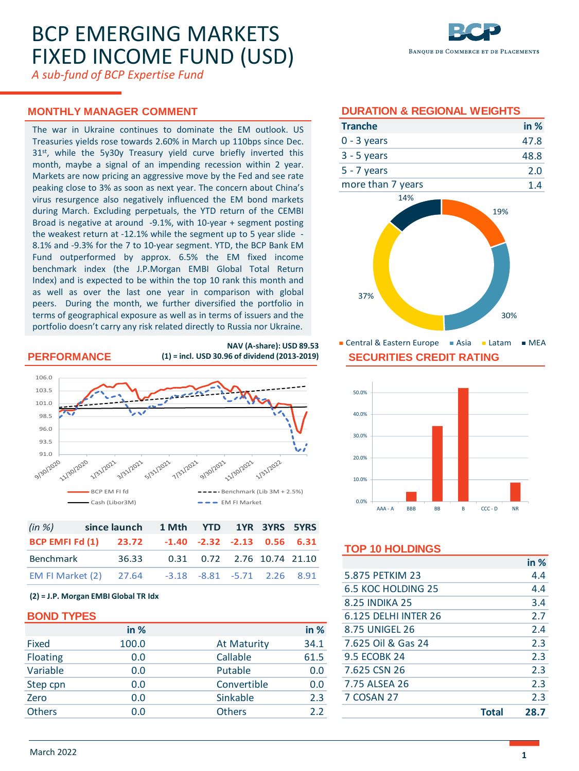# BCP EMERGING MARKETS FIXED INCOME FUND (USD)

*A sub-fund of BCP Expertise Fund*

# **MONTHLY MANAGER COMMENT**

The war in Ukraine continues to dominate the EM outlook. US Treasuries yields rose towards 2.60% in March up 110bps since Dec. 31<sup>st</sup>, while the 5y30y Treasury yield curve briefly inverted this month, maybe a signal of an impending recession within 2 year. Markets are now pricing an aggressive move by the Fed and see rate peaking close to 3% as soon as next year. The concern about China's virus resurgence also negatively influenced the EM bond markets during March. Excluding perpetuals, the YTD return of the CEMBI Broad is negative at around -9.1%, with 10-year + segment posting the weakest return at -12.1% while the segment up to 5 year slide - 8.1% and -9.3% for the 7 to 10-year segment. YTD, the BCP Bank EM Fund outperformed by approx. 6.5% the EM fixed income benchmark index (the J.P.Morgan EMBI Global Total Return Index) and is expected to be within the top 10 rank this month and as well as over the last one year in comparison with global peers. During the month, we further diversified the portfolio in terms of geographical exposure as well as in terms of issuers and the portfolio doesn't carry any risk related directly to Russia nor Ukraine. **MONTHLY MANAGER COMMENT (2018)**<br> **BON THE VERT CONSULTER CONSULTER CONSULTS (2018)**<br>
Transmit means a good of an interpretation is which the state of the state of a 3-5 years<br>
and the magnetic and a minimal present with f

### **PERFORMANCE**

**NAV (A-share): USD 89.53 (1) = incl. USD 30.96 of dividend (2013-2019)**



| $(in \%)$ | since launch 1 Mth YTD 1YR 3YRS 5YRS               |                            |  |  |
|-----------|----------------------------------------------------|----------------------------|--|--|
|           | BCP EMFI Fd (1) 23.72 -1.40 -2.32 -2.13 0.56 6.31  |                            |  |  |
| Benchmark | 36.33                                              | 0.31 0.72 2.76 10.74 21.10 |  |  |
|           | EM FI Market (2) 27.64 -3.18 -8.81 -5.71 2.26 8.91 |                            |  |  |

#### **(2) = J.P. Morgan EMBI Global TR Idx**

|                 | in %  |                    | in % |
|-----------------|-------|--------------------|------|
| Fixed           | 100.0 | <b>At Maturity</b> | 34.1 |
| <b>Floating</b> | 0.0   | Callable           | 61.5 |
| Variable        | 0.0   | Putable            | 0.0  |
| Step cpn        | 0.0   | Convertible        | 0.0  |
| Zero            | 0.0   | Sinkable           | 2.3  |
| <b>Others</b>   | 0.0   | <b>Others</b>      | 2.2  |

| <b>Tranche</b>    | in $%$ |
|-------------------|--------|
| $0 - 3$ years     | 47.8   |
| $3 - 5$ years     | 48.8   |
| $5 - 7$ years     | 2.0    |
| moro than 7 years |        |



**SECURITIES CREDIT RATING** ■ Central & Eastern Europe ■ Asia ■ Latam ■ MEA



# **TOP 10 HOLDINGS**

|                       | <b>Total</b> | 28.7   |
|-----------------------|--------------|--------|
| 7 COSAN 27            |              | 2.3    |
| 7.75 ALSEA 26         |              | 2.3    |
| 7.625 CSN 26          |              | 2.3    |
| <b>9.5 ECOBK 24</b>   |              | 2.3    |
| 7.625 Oil & Gas 24    |              | 2.3    |
| 8.75 UNIGEL 26        |              | 2.4    |
| 6.125 DEI HI INTER 26 |              | 2.7    |
| <b>8.25 INDIKA 25</b> |              | 3.4    |
| 6.5 KOC HOLDING 25    |              | 4.4    |
| 5.875 PETKIM 23       |              | 4.4    |
|                       |              | in $%$ |